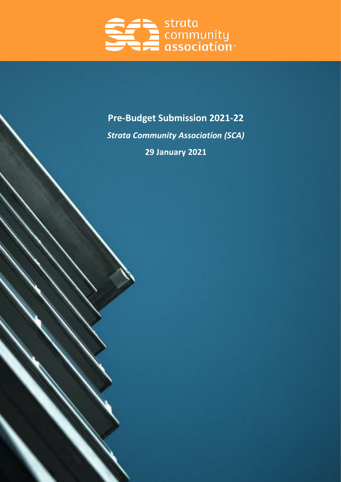

# **Pre-Budget Submission 2021-22** *Strata Community Association (SCA)* **29 January 2021**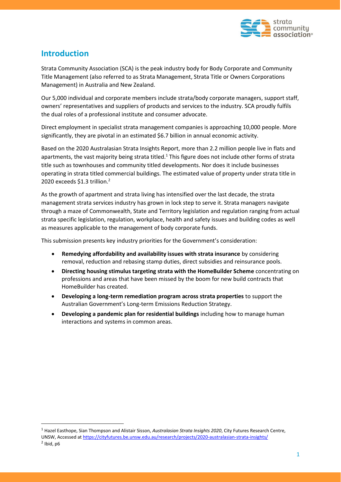

# **Introduction**

Strata Community Association (SCA) is the peak industry body for Body Corporate and Community Title Management (also referred to as Strata Management, Strata Title or Owners Corporations Management) in Australia and New Zealand.

Our 5,000 individual and corporate members include strata/body corporate managers, support staff, owners' representatives and suppliers of products and services to the industry. SCA proudly fulfils the dual roles of a professional institute and consumer advocate.

Direct employment in specialist strata management companies is approaching 10,000 people. More significantly, they are pivotal in an estimated \$6.7 billion in annual economic activity.

Based on the 2020 Australasian Strata Insights Report, more than 2.2 million people live in flats and apartments, the vast majority being strata titled.<sup>1</sup> This figure does not include other forms of strata title such as townhouses and community titled developments. Nor does it include businesses operating in strata titled commercial buildings. The estimated value of property under strata title in 2020 exceeds \$1.3 trillion.<sup>2</sup>

As the growth of apartment and strata living has intensified over the last decade, the strata management strata services industry has grown in lock step to serve it. Strata managers navigate through a maze of Commonwealth, State and Territory legislation and regulation ranging from actual strata specific legislation, regulation, workplace, health and safety issues and building codes as well as measures applicable to the management of body corporate funds.

This submission presents key industry priorities for the Government's consideration:

- **Remedying affordability and availability issues with strata insurance** by considering removal, reduction and rebasing stamp duties, direct subsidies and reinsurance pools.
- **Directing housing stimulus targeting strata with the HomeBuilder Scheme** concentrating on professions and areas that have been missed by the boom for new build contracts that HomeBuilder has created.
- **Developing a long-term remediation program across strata properties** to support the Australian Government's Long-term Emissions Reduction Strategy.
- **Developing a pandemic plan for residential buildings** including how to manage human interactions and systems in common areas.

<sup>1</sup> Hazel Easthope, Sian Thompson and Alistair Sisson, *Australasian Strata Insights 2020*, City Futures Research Centre, UNSW, Accessed at<https://cityfutures.be.unsw.edu.au/research/projects/2020-australasian-strata-insights/>  $<sup>2</sup>$  Ibid, p6</sup>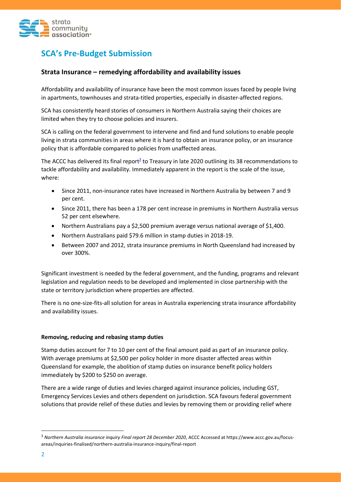

# **SCA's Pre-Budget Submission**

## **Strata Insurance – remedying affordability and availability issues**

Affordability and availability of insurance have been the most common issues faced by people living in apartments, townhouses and strata-titled properties, especially in disaster-affected regions.

SCA has consistently heard stories of consumers in Northern Australia saying their choices are limited when they try to choose policies and insurers.

SCA is calling on the federal government to intervene and find and fund solutions to enable people living in strata communities in areas where it is hard to obtain an insurance policy, or an insurance policy that is affordable compared to policies from unaffected areas.

The ACCC has delivered its final report<sup>3</sup> to Treasury in late 2020 outlining its 38 recommendations to tackle affordability and availability. Immediately apparent in the report is the scale of the issue, where:

- Since 2011, non-insurance rates have increased in Northern Australia by between 7 and 9 per cent.
- Since 2011, there has been a 178 per cent increase in premiums in Northern Australia versus 52 per cent elsewhere.
- Northern Australians pay a \$2,500 premium average versus national average of \$1,400.
- Northern Australians paid \$79.6 million in stamp duties in 2018-19.
- Between 2007 and 2012, strata insurance premiums in North Queensland had increased by over 300%.

Significant investment is needed by the federal government, and the funding, programs and relevant legislation and regulation needs to be developed and implemented in close partnership with the state or territory jurisdiction where properties are affected.

There is no one-size-fits-all solution for areas in Australia experiencing strata insurance affordability and availability issues.

#### **Removing, reducing and rebasing stamp duties**

Stamp duties account for 7 to 10 per cent of the final amount paid as part of an insurance policy. With average premiums at \$2,500 per policy holder in more disaster affected areas within Queensland for example, the abolition of stamp duties on insurance benefit policy holders immediately by \$200 to \$250 on average.

There are a wide range of duties and levies charged against insurance policies, including GST, Emergency Services Levies and others dependent on jurisdiction. SCA favours federal government solutions that provide relief of these duties and levies by removing them or providing relief where

<sup>3</sup> *Northern Australia insurance inquiry Final report 28 December 2020*, ACCC Accessed at https://www.accc.gov.au/focusareas/inquiries-finalised/northern-australia-insurance-inquiry/final-report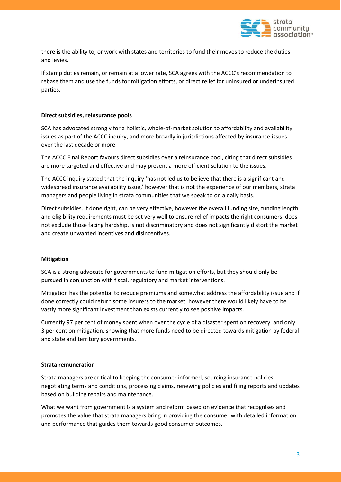

there is the ability to, or work with states and territories to fund their moves to reduce the duties and levies.

If stamp duties remain, or remain at a lower rate, SCA agrees with the ACCC's recommendation to rebase them and use the funds for mitigation efforts, or direct relief for uninsured or underinsured parties.

#### **Direct subsidies, reinsurance pools**

SCA has advocated strongly for a holistic, whole-of-market solution to affordability and availability issues as part of the ACCC inquiry, and more broadly in jurisdictions affected by insurance issues over the last decade or more.

The ACCC Final Report favours direct subsidies over a reinsurance pool, citing that direct subsidies are more targeted and effective and may present a more efficient solution to the issues.

The ACCC inquiry stated that the inquiry 'has not led us to believe that there is a significant and widespread insurance availability issue,' however that is not the experience of our members, strata managers and people living in strata communities that we speak to on a daily basis.

Direct subsidies, if done right, can be very effective, however the overall funding size, funding length and eligibility requirements must be set very well to ensure relief impacts the right consumers, does not exclude those facing hardship, is not discriminatory and does not significantly distort the market and create unwanted incentives and disincentives.

#### **Mitigation**

SCA is a strong advocate for governments to fund mitigation efforts, but they should only be pursued in conjunction with fiscal, regulatory and market interventions.

Mitigation has the potential to reduce premiums and somewhat address the affordability issue and if done correctly could return some insurers to the market, however there would likely have to be vastly more significant investment than exists currently to see positive impacts.

Currently 97 per cent of money spent when over the cycle of a disaster spent on recovery, and only 3 per cent on mitigation, showing that more funds need to be directed towards mitigation by federal and state and territory governments.

#### **Strata remuneration**

Strata managers are critical to keeping the consumer informed, sourcing insurance policies, negotiating terms and conditions, processing claims, renewing policies and filing reports and updates based on building repairs and maintenance.

What we want from government is a system and reform based on evidence that recognises and promotes the value that strata managers bring in providing the consumer with detailed information and performance that guides them towards good consumer outcomes.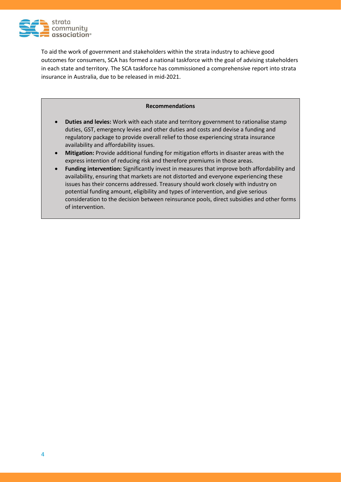

To aid the work of government and stakeholders within the strata industry to achieve good outcomes for consumers, SCA has formed a national taskforce with the goal of advising stakeholders in each state and territory. The SCA taskforce has commissioned a comprehensive report into strata insurance in Australia, due to be released in mid-2021.

#### **Recommendations**

- **Duties and levies:** Work with each state and territory government to rationalise stamp duties, GST, emergency levies and other duties and costs and devise a funding and regulatory package to provide overall relief to those experiencing strata insurance availability and affordability issues.
- **Mitigation:** Provide additional funding for mitigation efforts in disaster areas with the express intention of reducing risk and therefore premiums in those areas.
- **Funding intervention:** Significantly invest in measures that improve both affordability and availability, ensuring that markets are not distorted and everyone experiencing these issues has their concerns addressed. Treasury should work closely with industry on potential funding amount, eligibility and types of intervention, and give serious consideration to the decision between reinsurance pools, direct subsidies and other forms of intervention.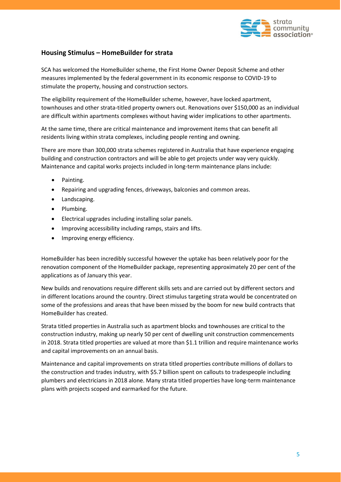

# **Housing Stimulus – HomeBuilder for strata**

SCA has welcomed the HomeBuilder scheme, the First Home Owner Deposit Scheme and other measures implemented by the federal government in its economic response to COVID-19 to stimulate the property, housing and construction sectors.

The eligibility requirement of the HomeBuilder scheme, however, have locked apartment, townhouses and other strata-titled property owners out. Renovations over \$150,000 as an individual are difficult within apartments complexes without having wider implications to other apartments.

At the same time, there are critical maintenance and improvement items that can benefit all residents living within strata complexes, including people renting and owning.

There are more than 300,000 strata schemes registered in Australia that have experience engaging building and construction contractors and will be able to get projects under way very quickly. Maintenance and capital works projects included in long-term maintenance plans include:

- Painting.
- Repairing and upgrading fences, driveways, balconies and common areas.
- Landscaping.
- Plumbing.
- Electrical upgrades including installing solar panels.
- Improving accessibility including ramps, stairs and lifts.
- Improving energy efficiency.

HomeBuilder has been incredibly successful however the uptake has been relatively poor for the renovation component of the HomeBuilder package, representing approximately 20 per cent of the applications as of January this year.

New builds and renovations require different skills sets and are carried out by different sectors and in different locations around the country. Direct stimulus targeting strata would be concentrated on some of the professions and areas that have been missed by the boom for new build contracts that HomeBuilder has created.

Strata titled properties in Australia such as apartment blocks and townhouses are critical to the construction industry, making up nearly 50 per cent of dwelling unit construction commencements in 2018. Strata titled properties are valued at more than \$1.1 trillion and require maintenance works and capital improvements on an annual basis.

Maintenance and capital improvements on strata titled properties contribute millions of dollars to the construction and trades industry, with \$5.7 billion spent on callouts to tradespeople including plumbers and electricians in 2018 alone. Many strata titled properties have long-term maintenance plans with projects scoped and earmarked for the future.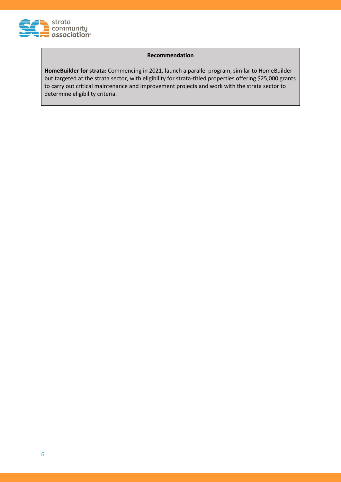

#### **Recommendation**

**HomeBuilder for strata:** Commencing in 2021, launch a parallel program, similar to HomeBuilder but targeted at the strata sector, with eligibility for strata-titled properties offering \$25,000 grants to carry out critical maintenance and improvement projects and work with the strata sector to determine eligibility criteria.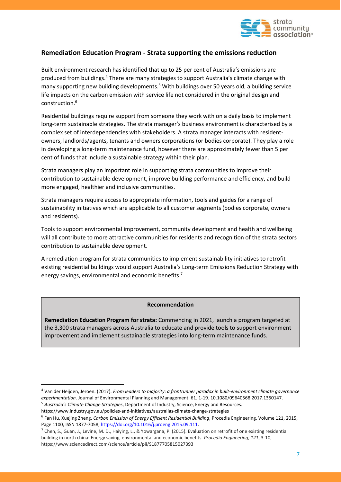

## **Remediation Education Program - Strata supporting the emissions reduction**

Built environment research has identified that up to 25 per cent of Australia's emissions are produced from buildings. <sup>4</sup> There are many strategies to support Australia's climate change with many supporting new building developments.<sup>5</sup> With buildings over 50 years old, a building service life impacts on the carbon emission with service life not considered in the original design and construction. 6

Residential buildings require support from someone they work with on a daily basis to implement long-term sustainable strategies. The strata manager's business environment is characterised by a complex set of interdependencies with stakeholders. A strata manager interacts with residentowners, landlords/agents, tenants and owners corporations (or bodies corporate). They play a role in developing a long-term maintenance fund, however there are approximately fewer than 5 per cent of funds that include a sustainable strategy within their plan.

Strata managers play an important role in supporting strata communities to improve their contribution to sustainable development, improve building performance and efficiency, and build more engaged, healthier and inclusive communities.

Strata managers require access to appropriate information, tools and guides for a range of sustainability initiatives which are applicable to all customer segments (bodies corporate, owners and residents).

Tools to support environmental improvement, community development and health and wellbeing will all contribute to more attractive communities for residents and recognition of the strata sectors contribution to sustainable development.

A remediation program for strata communities to implement sustainability initiatives to retrofit existing residential buildings would support Australia's Long-term Emissions Reduction Strategy with energy savings, environmental and economic benefits.<sup>7</sup>

#### **Recommendation**

**Remediation Education Program for strata:** Commencing in 2021, launch a program targeted at the 3,300 strata managers across Australia to educate and provide tools to support environment improvement and implement sustainable strategies into long-term maintenance funds.

<sup>4</sup> Van der Heijden, Jeroen. (2017). *From leaders to majority: a frontrunner paradox in built-environment climate governance experimentation*. Journal of Environmental Planning and Management. 61. 1-19. 10.1080/09640568.2017.1350147.

<sup>5</sup> *Australia's Climate Change Strategies*, Department of Industry, Science, Energy and Resources.

https://www.industry.gov.au/policies-and-initiatives/australias-climate-change-strategies

<sup>6</sup> Fan Hu, Xuejing Zheng, *Carbon Emission of Energy Efficient Residential Building*, Procedia Engineering, Volume 121, 2015, Page 1100, ISSN 1877-7058[, https://doi.org/10.1016/j.proeng.2015.09.111.](https://doi.org/10.1016/j.proeng.2015.09.111)

 $^7$  Chen, S., Guan, J., Levine, M. D., Haiying, L., & Yowargana, P. (2015). Evaluation on retrofit of one existing residential building in north china: Energy saving, environmental and economic benefits. *Procedia Engineering*, *121*, 3-10, https://www.sciencedirect.com/science/article/pii/S1877705815027393